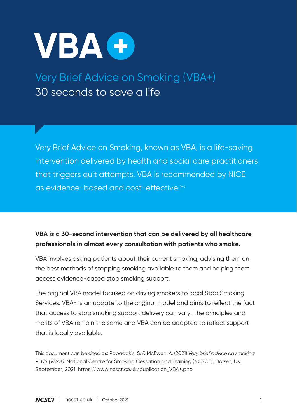

Very Brief Advice on Smoking (VBA+) 30 seconds to save a life

Very Brief Advice on Smoking, known as VBA, is a life-saving intervention delivered by health and social care practitioners that triggers quit attempts. VBA is recommended by NICE as evidence-based and cost-effective.<sup>1-6</sup>

### **VBA is a 30-second intervention that can be delivered by all healthcare professionals in almost every consultation with patients who smoke.**

VBA involves asking patients about their current smoking, advising them on the best methods of stopping smoking available to them and helping them access evidence-based stop smoking support.

The original VBA model focused on driving smokers to local Stop Smoking Services. VBA+ is an update to the original model and aims to reflect the fact that access to stop smoking support delivery can vary. The principles and merits of VBA remain the same and VBA can be adapted to reflect support that is locally available.

This document can be cited as: Papadakis, S. & McEwen, A. (2021) *Very brief advice on smoking PLUS (VBA+)*. National Centre for Smoking Cessation and Training (NCSCT), Dorset, UK. September, 2021. https://www.ncsct.co.uk/publication\_VBA+.php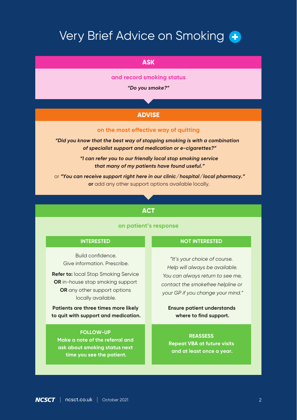# Very Brief Advice on Smoking

#### **ASK**

**and record smoking status**

*"Do you smoke?"*

### **ADVISE**

#### **on the most effective way of quitting**

*"Did you know that the best way of stopping smoking is with a combination of specialist support and medication or e-cigarettes?"*

> *"I can refer you to our friendly local stop smoking service that many of my patients have found useful."*

or *"You can receive support right here in our clinic/hospital/local pharmacy."* **or** add any other support options available locally.

#### **ACT**

#### **on patient's response**

#### **INTERESTED FOLLOW-UP Make a note of the referral and** Build confidence. Give information. Prescribe. **Refer to:** local Stop Smoking Service **OR** in-house stop smoking support **OR** any other support options locally available. **Patients are three times more likely to quit with support and medication. NOT INTERESTED REASSESS Repeat VBA at future visits Ensure patient understands where to find support.** *"It's your choice of course. Help will always be available. You can always return to see me, contact the smokefree helpline or your GP if you change your mind."*

**and at least once a year.**

**ask about smoking status next time you see the patient.**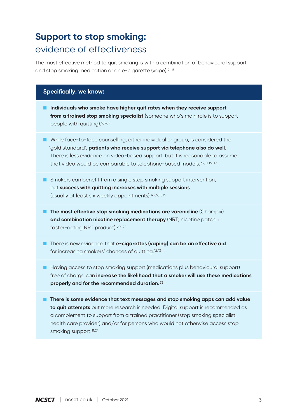## **Support to stop smoking:** evidence of effectiveness

The most effective method to quit smoking is with a combination of behavioural support and stop smoking medication or an e-cigarette (vape).7-13

#### **Specifically, we know:**

- **Individuals who smoke have higher quit rates when they receive support from a trained stop smoking specialist** (someone who's main role is to support people with quitting).9,14,15
- While face-to-face counselling, either individual or group, is considered the 'gold standard', **patients who receive support via telephone also do well.** There is less evidence on video-based support, but it is reasonable to assume that video would be comparable to telephone-based models.7,9,11,16–19
- Smokers can benefit from a single stop smoking support intervention, but **success with quitting increases with multiple sessions** (usually at least six weekly appointments).4,7,9,11,16
- **The most effective stop smoking medications are varenicline** (Champix) **and combination nicotine replacement therapy** (NRT; nicotine patch + faster-acting NRT product).20–22
- There is new evidence that **e-cigarettes (vaping) can be an effective aid** for increasing smokers' chances of quitting.12,13
- Having access to stop smoking support (medications plus behavioural support) free of charge can **increase the likelihood that a smoker will use these medications properly and for the recommended duration.**<sup>23</sup>
- **There is some evidence that text messages and stop smoking apps can add value to quit attempts** but more research is needed. Digital support is recommended as a complement to support from a trained practitioner (stop smoking specialist, health care provider) and/or for persons who would not otherwise access stop smoking support.<sup>11,24</sup>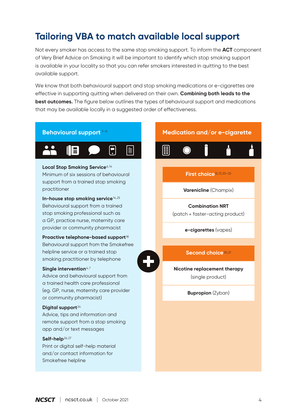## **Tailoring VBA to match available local support**

Not every smoker has access to the same stop smoking support. To inform the **ACT** component of Very Brief Advice on Smoking it will be important to identify which stop smoking support is available in your locality so that you can refer smokers interested in quitting to the best available support.

We know that both behavioural support and stop smoking medications or e-cigarettes are effective in supporting quitting when delivered on their own. **Combining both leads to the best outcomes.** The figure below outlines the types of behavioural support and medications that may be available locally in a suggested order of effectiveness.

#### **Behavioural support** 7–11



#### Local Stop Smoking Service<sup>6,14</sup>

Minimum of six sessions of behavioural support from a trained stop smoking practitioner

**In-house stop smoking service**14,25

Behavioural support from a trained stop smoking professional such as a GP, practice nurse, maternity care provider or community pharmacist

#### **Proactive telephone-based support**<sup>18</sup>

Behavioural support from the Smokefree helpline service or a trained stop smoking practitioner by telephone

#### **Single intervention**4,7

Advice and behavioural support from a trained health care professional (eg. GP, nurse, maternity care provider or community pharmacist)

#### **Digital support**<sup>24</sup>

Advice, tips and information and remote support from a stop smoking app and/or text messages

#### **Self-help**26,27

Print or digital self-help material and/or contact information for Smokefree helpline

#### **Medication and/or e-cigarette**



#### **First choice**12,13,20–22

**Varenicline** (Champix)

#### **Combination NRT**

(patch + faster-acting product)

**e-cigarettes** (vapes)

#### **Second choice**20,21

**Nicotine replacement therapy** (single product)

**Bupropion** (Zyban)